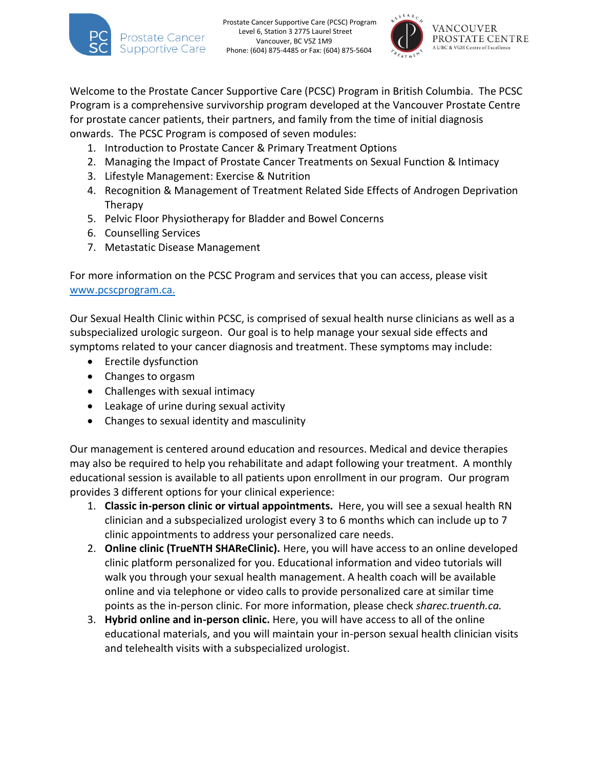

Welcome to the Prostate Cancer Supportive Care (PCSC) Program in British Columbia. The PCSC Program is a comprehensive survivorship program developed at the Vancouver Prostate Centre for prostate cancer patients, their partners, and family from the time of initial diagnosis onwards. The PCSC Program is composed of seven modules:

- 1. Introduction to Prostate Cancer & Primary Treatment Options
- 2. Managing the Impact of Prostate Cancer Treatments on Sexual Function & Intimacy
- 3. Lifestyle Management: Exercise & Nutrition
- 4. Recognition & Management of Treatment Related Side Effects of Androgen Deprivation Therapy
- 5. Pelvic Floor Physiotherapy for Bladder and Bowel Concerns
- 6. Counselling Services
- 7. Metastatic Disease Management

For more information on the PCSC Program and services that you can access, please visit [www.pcscprogram.ca.](http://www.pcscprogram.ca/)

Our Sexual Health Clinic within PCSC, is comprised of sexual health nurse clinicians as well as a subspecialized urologic surgeon. Our goal is to help manage your sexual side effects and symptoms related to your cancer diagnosis and treatment. These symptoms may include:

- Erectile dysfunction
- Changes to orgasm
- Challenges with sexual intimacy
- Leakage of urine during sexual activity
- Changes to sexual identity and masculinity

Our management is centered around education and resources. Medical and device therapies may also be required to help you rehabilitate and adapt following your treatment. A monthly educational session is available to all patients upon enrollment in our program. Our program provides 3 different options for your clinical experience:

- 1. **Classic in-person clinic or virtual appointments.** Here, you will see a sexual health RN clinician and a subspecialized urologist every 3 to 6 months which can include up to 7 clinic appointments to address your personalized care needs.
- 2. **Online clinic (TrueNTH SHAReClinic).** Here, you will have access to an online developed clinic platform personalized for you. Educational information and video tutorials will walk you through your sexual health management. A health coach will be available online and via telephone or video calls to provide personalized care at similar time points as the in-person clinic. For more information, please check *sharec.truenth.ca.*
- 3. **Hybrid online and in-person clinic.** Here, you will have access to all of the online educational materials, and you will maintain your in-person sexual health clinician visits and telehealth visits with a subspecialized urologist.